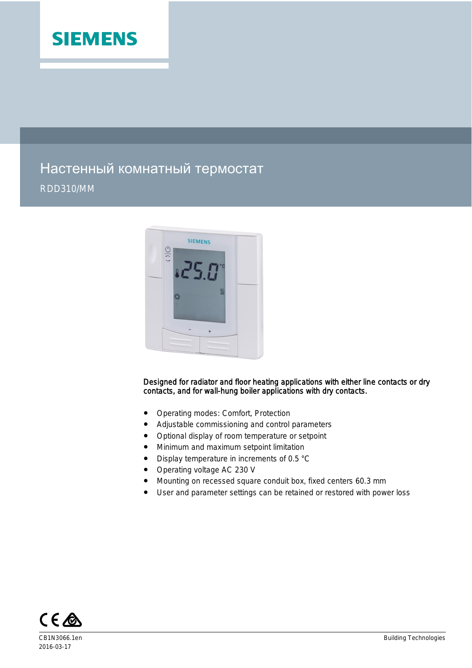

# Настенный комнатный термостат RDD310/MM



#### Designed for radiator and floor heating applications with either line contacts or dry contacts, and for wall-hung boiler applications with dry contacts.

- Operating modes: Comfort, Protection
- Adjustable commissioning and control parameters
- Optional display of room temperature or setpoint
- Minimum and maximum setpoint limitation
- Display temperature in increments of 0.5 °C
- Operating voltage AC 230 V
- Mounting on recessed square conduit box, fixed centers 60.3 mm
- User and parameter settings can be retained or restored with power loss



2016-03-17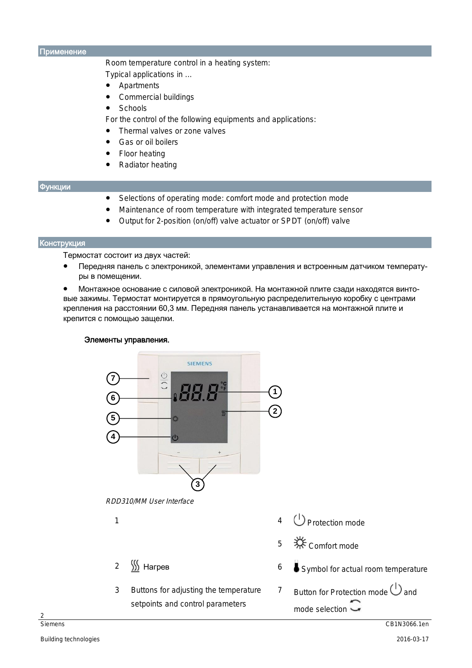Применение

Room temperature control in a heating system:

Typical applications in ...

- Apartments
- Commercial buildings
- **Schools**

For the control of the following equipments and applications:

- Thermal valves or zone valves
- Gas or oil boilers
- **Floor heating**
- **Radiator heating**

#### Функции

- Selections of operating mode: comfort mode and protection mode
- Maintenance of room temperature with integrated temperature sensor
- Output for 2-position (on/off) valve actuator or SPDT (on/off) valve

#### Конструкция

Термостат состоит из двух частей:

- Передняя панель с электроникой, элементами управления и встроенным датчиком температуры в помещении.
- Монтажное основание с силовой электроникой. На монтажной плите сзади находятся винтовые зажимы. Термостат монтируется в прямоугольную распределительную коробку с центрами крепления на расстоянии 60,3 мм. Передняя панель устанавливается на монтажной плите и крепится с помощью защелки.

#### Элементы управления.



температуры, заданных значений и статистики и статистики и статистики и статистики и статистики и статистики и<br>В село в село в село в село в село в село в село в село в село в село в село в село в село в село в село в сел

3 Buttons for adjusting the temperature setpoints and control parameters

параметров управления;

- 4 *D* Protection mode
- 5 Comfort mode
- 2 <u>∭</u> Нагрев 2 Нагрев 2 Нагрев 2 Нагрев 2 Нагрев 2 Нагрев 2 Нагред 2 Нагред 2 Нагред 2 Нагред 2 Нагред 2 Нагред 2 Н
	- 7 Button for Protection mode  $\bigcup$  and mode selection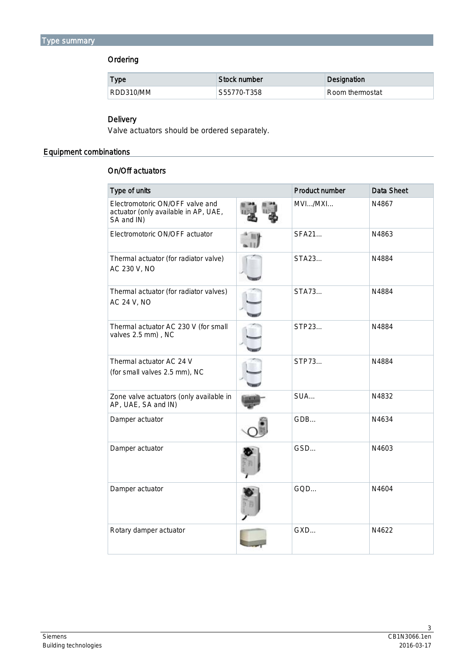# Ordering

| <b>Type</b> | Stock number | Designation     |
|-------------|--------------|-----------------|
| RDD310/MM   | 'S55770-T358 | Room thermostat |

# Delivery

Valve actuators should be ordered separately.

# Equipment combinations

# On/Off actuators

| Type of units                                                                         | Product number | <b>Data Sheet</b> |
|---------------------------------------------------------------------------------------|----------------|-------------------|
| Electromotoric ON/OFF valve and<br>actuator (only available in AP, UAE,<br>SA and IN) | MVI/MXI        | N4867             |
| Electromotoric ON/OFF actuator                                                        | <b>SFA21</b>   | N4863             |
| Thermal actuator (for radiator valve)<br>AC 230 V, NO                                 | STA23          | N4884             |
| Thermal actuator (for radiator valves)<br><b>AC 24 V, NO</b>                          | STA73          | N4884             |
| Thermal actuator AC 230 V (for small<br>valves 2.5 mm), NC                            | STP23          | N4884             |
| Thermal actuator AC 24 V<br>(for small valves 2.5 mm), NC                             | STP73          | N4884             |
| Zone valve actuators (only available in<br>AP, UAE, SA and IN)                        | SUA            | N4832             |
| Damper actuator                                                                       | GDB            | N4634             |
| Damper actuator                                                                       | GSD            | N4603             |
| Damper actuator                                                                       | GQD            | N4604             |
| Rotary damper actuator                                                                | GXD            | N4622             |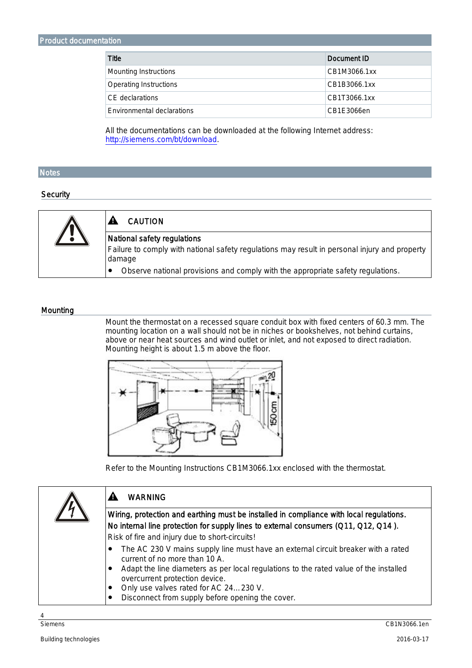| Title                      | Document ID  |
|----------------------------|--------------|
| Mounting Instructions      | CB1M3066.1xx |
| Operating Instructions     | CB1B3066.1xx |
| CE declarations            | CB1T3066.1xx |
| Environmental declarations | CB1E3066en   |

All the documentations can be downloaded at the following Internet address: <http://siemens.com/bt/download>.

### **Notes**

#### **Security**



#### **Mounting**

Mount the thermostat on a recessed square conduit box with fixed centers of 60.3 mm. The mounting location on a wall should not be in niches or bookshelves, not behind curtains, above or near heat sources and wind outlet or inlet, and not exposed to direct radiation. Mounting height is about 1.5 m above the floor.



Refer to the Mounting Instructions CB1M3066.1xx enclosed with the thermostat.

| <b>WARNING</b>                                                                                                                                                                                                                                                                                                                                          |
|---------------------------------------------------------------------------------------------------------------------------------------------------------------------------------------------------------------------------------------------------------------------------------------------------------------------------------------------------------|
| Wiring, protection and earthing must be installed in compliance with local regulations.<br>No internal line protection for supply lines to external consumers (Q11, Q12, Q14).<br>Risk of fire and injury due to short-circuits!                                                                                                                        |
| The AC 230 V mains supply line must have an external circuit breaker with a rated<br>current of no more than 10 A.<br>Adapt the line diameters as per local regulations to the rated value of the installed<br>$\bullet$<br>overcurrent protection device.<br>Only use valves rated for AC 24230 V.<br>Disconnect from supply before opening the cover. |

4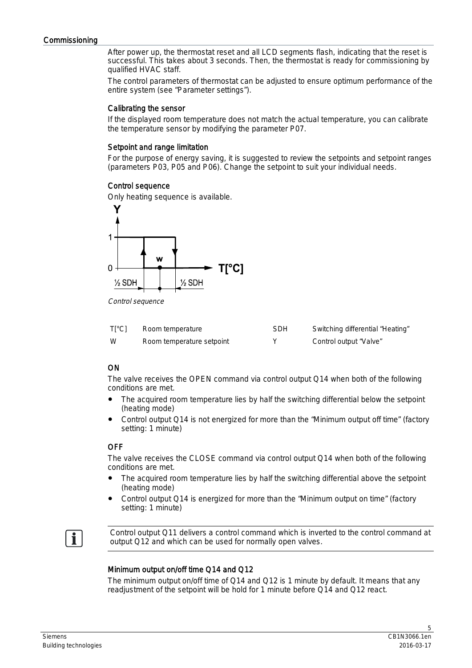After power up, the thermostat reset and all LCD segments flash, indicating that the reset is successful. This takes about 3 seconds. Then, the thermostat is ready for commissioning by qualified HVAC staff.

The control parameters of thermostat can be adjusted to ensure optimum performance of the entire system (see "Parameter settings").

#### Calibrating the sensor

If the displayed room temperature does not match the actual temperature, you can calibrate the temperature sensor by modifying the parameter P07.

#### Setpoint and range limitation

For the purpose of energy saving, it is suggested to review the setpoints and setpoint ranges (parameters P03, P05 and P06). Change the setpoint to suit your individual needs.

### Control sequence

Only heating sequence is available.



Control sequence

| $T[^{\circ}C]$ | Room temperature          | <b>SDH</b> | Switching differential "Heating" |
|----------------|---------------------------|------------|----------------------------------|
| W              | Room temperature setpoint |            | Control output "Valve"           |

# ON

The valve receives the OPEN command via control output Q14 when both of the following conditions are met.

- The acquired room temperature lies by half the switching differential below the setpoint (heating mode)
- Control output Q14 is not energized for more than the "Minimum output off time" (factory setting: 1 minute)

# **OFF**

The valve receives the CLOSE command via control output Q14 when both of the following conditions are met.

- The acquired room temperature lies by half the switching differential above the setpoint (heating mode)
- Control output Q14 is energized for more than the "Minimum output on time" (factory setting: 1 minute)

 $\mathbf i$ 

Control output Q11 delivers a control command which is inverted to the control command at output Q12 and which can be used for normally open valves.

# Minimum output on/off time Q14 and Q12

The minimum output on/off time of Q14 and Q12 is 1 minute by default. It means that any readjustment of the setpoint will be hold for 1 minute before Q14 and Q12 react.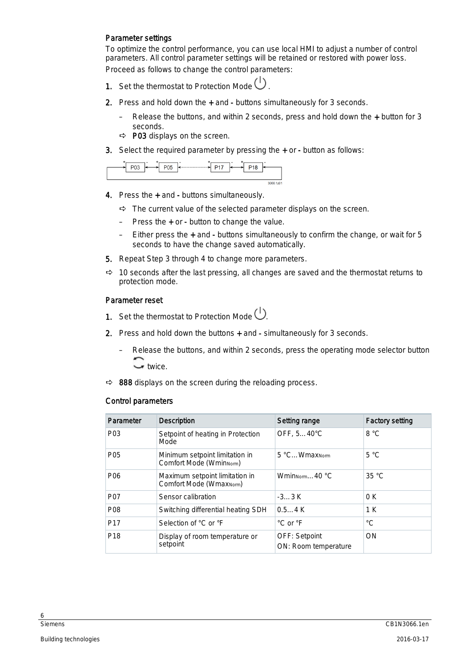## Parameter settings

To optimize the control performance, you can use local HMI to adjust a number of control parameters. All control parameter settings will be retained or restored with power loss. Proceed as follows to change the control parameters:

- 1. Set the thermostat to Protection Mode  $\bigcup$
- 2. Press and hold down the + and buttons simultaneously for 3 seconds.
	- Release the buttons, and within 2 seconds, press and hold down the + button for 3 seconds.
	- $\Rightarrow$  P03 displays on the screen.
- 3. Select the required parameter by pressing the + or button as follows:

| ◡ | ۰ | P <sub>05</sub> | ۰ | P <sub>17</sub> | ۰ |  |           |
|---|---|-----------------|---|-----------------|---|--|-----------|
|   |   |                 |   |                 |   |  | 3066 1z01 |

- 4. Press the + and buttons simultaneously.
	- $\Rightarrow$  The current value of the selected parameter displays on the screen.
	- Press the + or button to change the value.
	- Either press the + and buttons simultaneously to confirm the change, or wait for 5 seconds to have the change saved automatically.
- 5. Repeat Step 3 through 4 to change more parameters.
- $\Rightarrow$  10 seconds after the last pressing, all changes are saved and the thermostat returns to protection mode.

## Parameter reset

- 1. Set the thermostat to Protection Mode  $\bigcup$ .
- 2. Press and hold down the buttons + and simultaneously for 3 seconds.
	- Release the buttons, and within 2 seconds, press the operating mode selector button wice.
- $\Rightarrow$  888 displays on the screen during the reloading process.

# Control parameters

| Parameter        | <b>Description</b>                                                     | Setting range                                | <b>Factory setting</b> |
|------------------|------------------------------------------------------------------------|----------------------------------------------|------------------------|
| P <sub>0</sub> 3 | Setpoint of heating in Protection<br>Mode                              | OFF, 540°C                                   | 8 °C                   |
| P <sub>05</sub>  | Minimum setpoint limitation in<br>Comfort Mode (Wmin <sub>Norm</sub> ) | 5 °CWmax <sub>Norm</sub>                     | 5 °C                   |
| P <sub>06</sub>  | Maximum setpoint limitation in<br>Comfort Mode (Wmax <sub>Norm</sub> ) | Wmin <sub>Norm</sub> 40 $^{\circ}$ C         | 35 °C                  |
| <b>P07</b>       | Sensor calibration                                                     | $-33$ K                                      | 0K                     |
| P <sub>08</sub>  | Switching differential heating SDH                                     | $0.54$ K                                     | 1 K                    |
| P <sub>17</sub>  | Selection of °C or °F                                                  | °C or °F                                     | $^{\circ}C$            |
| P <sub>18</sub>  | Display of room temperature or<br>setpoint                             | <b>OFF: Setpoint</b><br>ON: Room temperature | ON                     |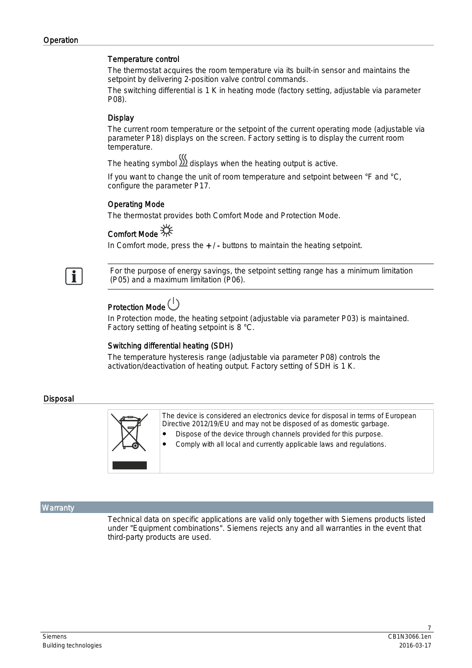### Temperature control

The thermostat acquires the room temperature via its built-in sensor and maintains the setpoint by delivering 2-position valve control commands.

The switching differential is 1 K in heating mode (factory setting, adjustable via parameter P08).

# **Display**

The current room temperature or the setpoint of the current operating mode (adjustable via parameter P18) displays on the screen. Factory setting is to display the current room temperature.

The heating symbol  $\sum_{n=1}^{\infty}$  displays when the heating output is active.

If you want to change the unit of room temperature and setpoint between °F and °C, configure the parameter P17.

# Operating Mode

The thermostat provides both Comfort Mode and Protection Mode.

# Comfort Mode  $\frac{1}{2}$

In Comfort mode, press the + / - buttons to maintain the heating setpoint.



For the purpose of energy savings, the setpoint setting range has a minimum limitation (P05) and a maximum limitation (P06).

# Protection Mode<sup>(1)</sup>

In Protection mode, the heating setpoint (adjustable via parameter P03) is maintained. Factory setting of heating setpoint is 8 °C.

# Switching differential heating (SDH)

The temperature hysteresis range (adjustable via parameter P08) controls the activation/deactivation of heating output. Factory setting of SDH is 1 K.

### Disposal



### **Warranty**

Technical data on specific applications are valid only together with Siemens products listed under "Equipment combinations". Siemens rejects any and all warranties in the event that third-party products are used.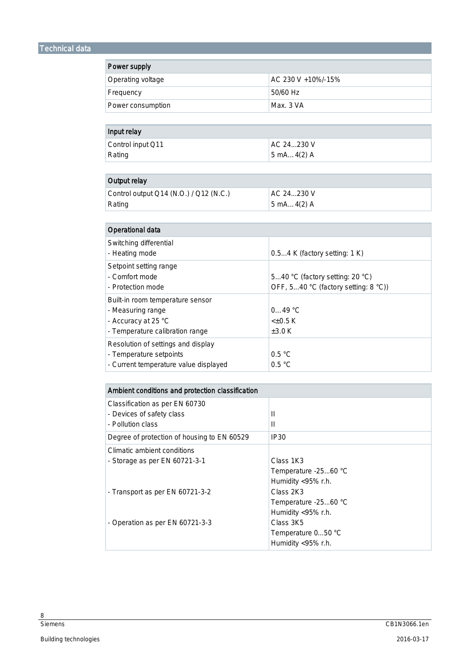# Technical data

| Power supply      |                     |  |  |
|-------------------|---------------------|--|--|
| Operating voltage | AC 230 V + 10%/-15% |  |  |
| Frequency         | 50/60 Hz            |  |  |
| Power consumption | Max. 3 VA           |  |  |
|                   |                     |  |  |

| Input relay       |                                     |
|-------------------|-------------------------------------|
| Control input Q11 | AC 24230 V                          |
| Rating            | $5 \text{ mA} \dots 4(2) \text{ A}$ |

| Output relay                           |            |
|----------------------------------------|------------|
| Control output Q14 (N.O.) / Q12 (N.C.) | AC 24230 V |
| Rating                                 | 5 mA4(2) A |

| <b>Operational data</b>                                                                                         |                                                                         |
|-----------------------------------------------------------------------------------------------------------------|-------------------------------------------------------------------------|
| Switching differential<br>- Heating mode                                                                        | 0.54 K (factory setting: 1 K)                                           |
| Setpoint setting range<br>- Comfort mode<br>- Protection mode                                                   | 540 °C (factory setting: 20 °C)<br>OFF, 540 °C (factory setting: 8 °C)) |
| Built-in room temperature sensor<br>- Measuring range<br>- Accuracy at 25 °C<br>- Temperature calibration range | $0.49 \degree C$<br>$< \pm 0.5 K$<br>$\pm 3.0$ K                        |
| Resolution of settings and display<br>- Temperature setpoints<br>- Current temperature value displayed          | 0.5 °C<br>0.5 °C                                                        |

| Ambient conditions and protection classification |                      |
|--------------------------------------------------|----------------------|
| Classification as per EN 60730                   |                      |
| - Devices of safety class                        | $\mathbf{I}$         |
| - Pollution class                                | Ш                    |
| Degree of protection of housing to EN 60529      | IP <sub>30</sub>     |
| Climatic ambient conditions                      |                      |
| - Storage as per EN 60721-3-1                    | Class 1K3            |
|                                                  | Temperature -2560 °C |
|                                                  | Humidity <95% r.h.   |
| - Transport as per EN 60721-3-2                  | Class 2K3            |
|                                                  | Temperature -2560 °C |
|                                                  | Humidity <95% r.h.   |
| - Operation as per EN 60721-3-3                  | Class 3K5            |
|                                                  | Temperature 050 °C   |
|                                                  | Humidity <95% r.h.   |

 $\frac{8}{Siemens}$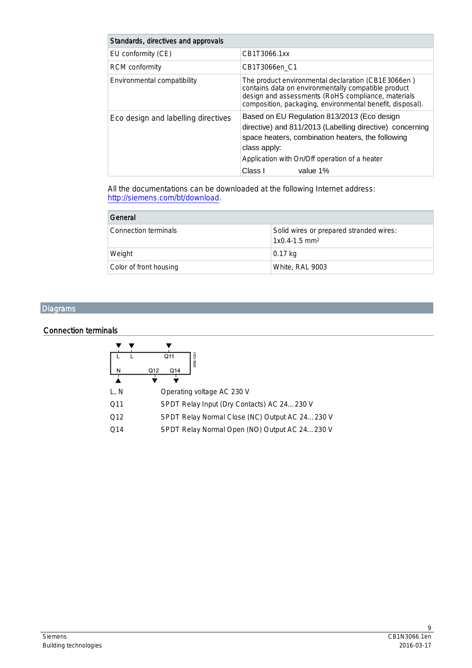| Standards, directives and approvals |                                                                                                                                                                                                                                                      |
|-------------------------------------|------------------------------------------------------------------------------------------------------------------------------------------------------------------------------------------------------------------------------------------------------|
| EU conformity (CE)                  | CB1T3066.1xx                                                                                                                                                                                                                                         |
| <b>RCM</b> conformity               | CB1T3066en C1                                                                                                                                                                                                                                        |
| Environmental compatibility         | The product environmental declaration (CB1E3066en)<br>contains data on environmentally compatible product<br>design and assessments (RoHS compliance, materials<br>composition, packaging, environmental benefit, disposal).                         |
| Eco design and labelling directives | Based on EU Regulation 813/2013 (Eco design<br>directive) and 811/2013 (Labelling directive) concerning<br>space heaters, combination heaters, the following<br>class apply:<br>Application with On/Off operation of a heater<br>Class I<br>value 1% |

All the documentations can be downloaded at the following Internet address: <http://siemens.com/bt/download>.

| General                |                                                                        |
|------------------------|------------------------------------------------------------------------|
| Connection terminals   | Solid wires or prepared stranded wires:<br>$1x0.4-1.5$ mm <sup>2</sup> |
| Weight                 | 0.17 kg                                                                |
| Color of front housing | White, RAL 9003                                                        |

# **Diagrams**

## Connection terminals

| N    | 3066.1G0<br>Q11<br>Q14<br>Q12                  |
|------|------------------------------------------------|
| L, N | Operating voltage AC 230 V                     |
| Q11  | SPDT Relay Input (Dry Contacts) AC 24230 V     |
| Q12  | SPDT Relay Normal Close (NC) Output AC 24230 V |
| O14  | SPDT Relay Normal Open (NO) Output AC 24230 V  |
|      |                                                |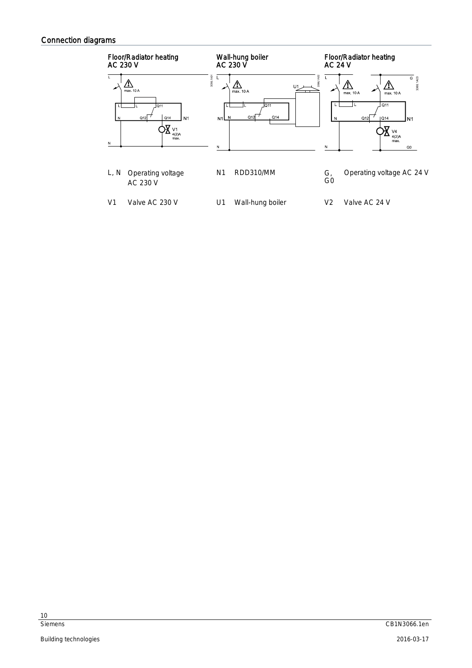# Connection diagrams